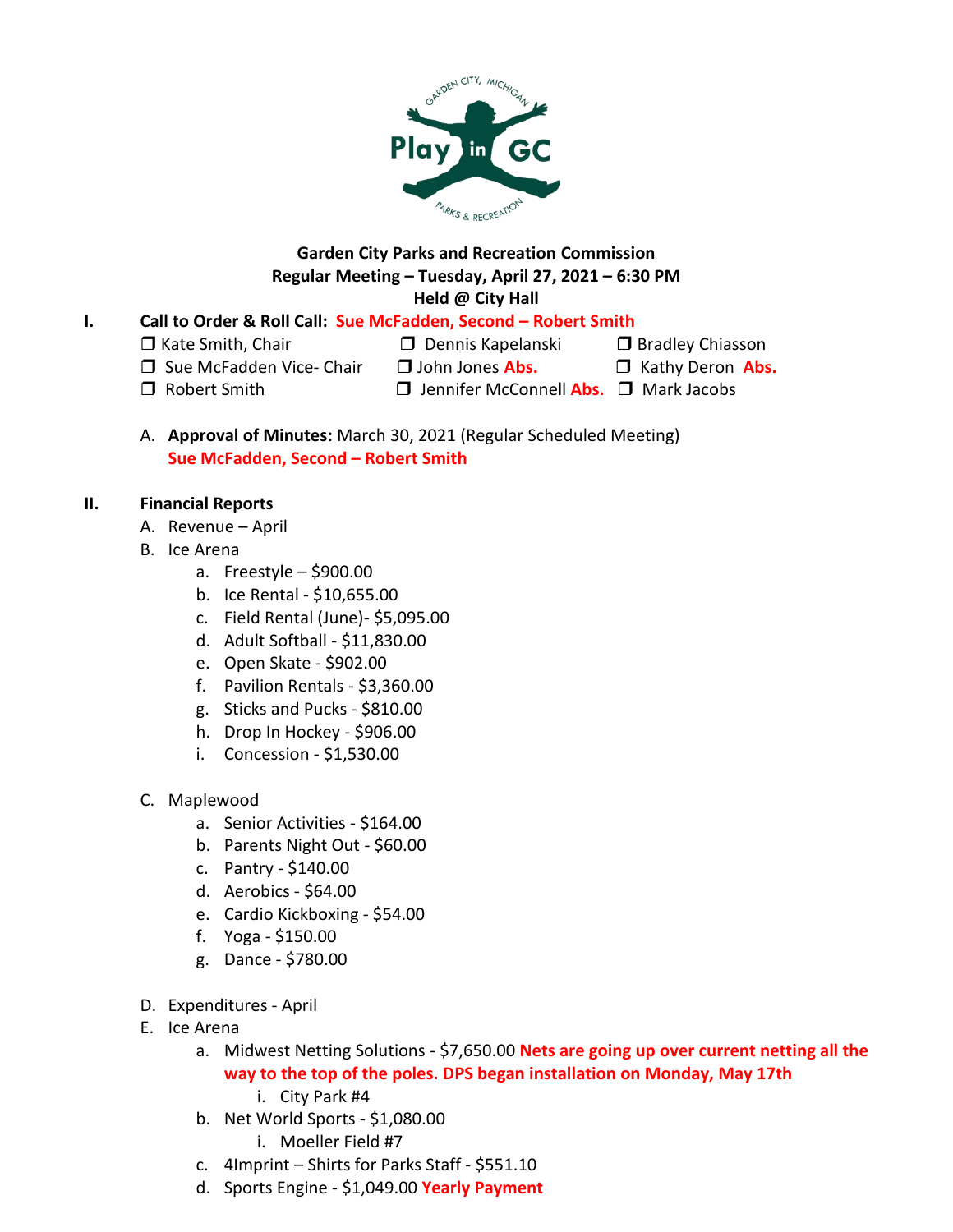

# **Garden City Parks and Recreation Commission Regular Meeting – Tuesday, April 27, 2021 – 6:30 PM Held @ City Hall**

# **I. Call to Order & Roll Call: Sue McFadden, Second – Robert Smith**

 $\Box$  Kate Smith, Chair  $\Box$  Dennis Kapelanski  $\Box$  Bradley Chiasson

- □ Sue McFadden Vice- Chair □ John Jones Abs. □ Kathy Deron Abs.
	-

- 
- □ Robert Smith Jennifer McConnell **Abs.** □ Mark Jacobs

A. **Approval of Minutes:** March 30, 2021 (Regular Scheduled Meeting) **Sue McFadden, Second – Robert Smith**

## **II. Financial Reports**

- A. Revenue April
- B. Ice Arena
	- a. Freestyle \$900.00
	- b. Ice Rental \$10,655.00
	- c. Field Rental (June)- \$5,095.00
	- d. Adult Softball \$11,830.00
	- e. Open Skate \$902.00
	- f. Pavilion Rentals \$3,360.00
	- g. Sticks and Pucks \$810.00
	- h. Drop In Hockey \$906.00
	- i. Concession \$1,530.00
- C. Maplewood
	- a. Senior Activities \$164.00
	- b. Parents Night Out \$60.00
	- c. Pantry \$140.00
	- d. Aerobics \$64.00
	- e. Cardio Kickboxing \$54.00
	- f. Yoga \$150.00
	- g. Dance \$780.00
- D. Expenditures April
- E. Ice Arena
	- a. Midwest Netting Solutions \$7,650.00 **Nets are going up over current netting all the way to the top of the poles. DPS began installation on Monday, May 17th**
		- i. City Park #4
	- b. Net World Sports \$1,080.00
		- i. Moeller Field #7
	- c. 4Imprint Shirts for Parks Staff \$551.10
	- d. Sports Engine \$1,049.00 **Yearly Payment**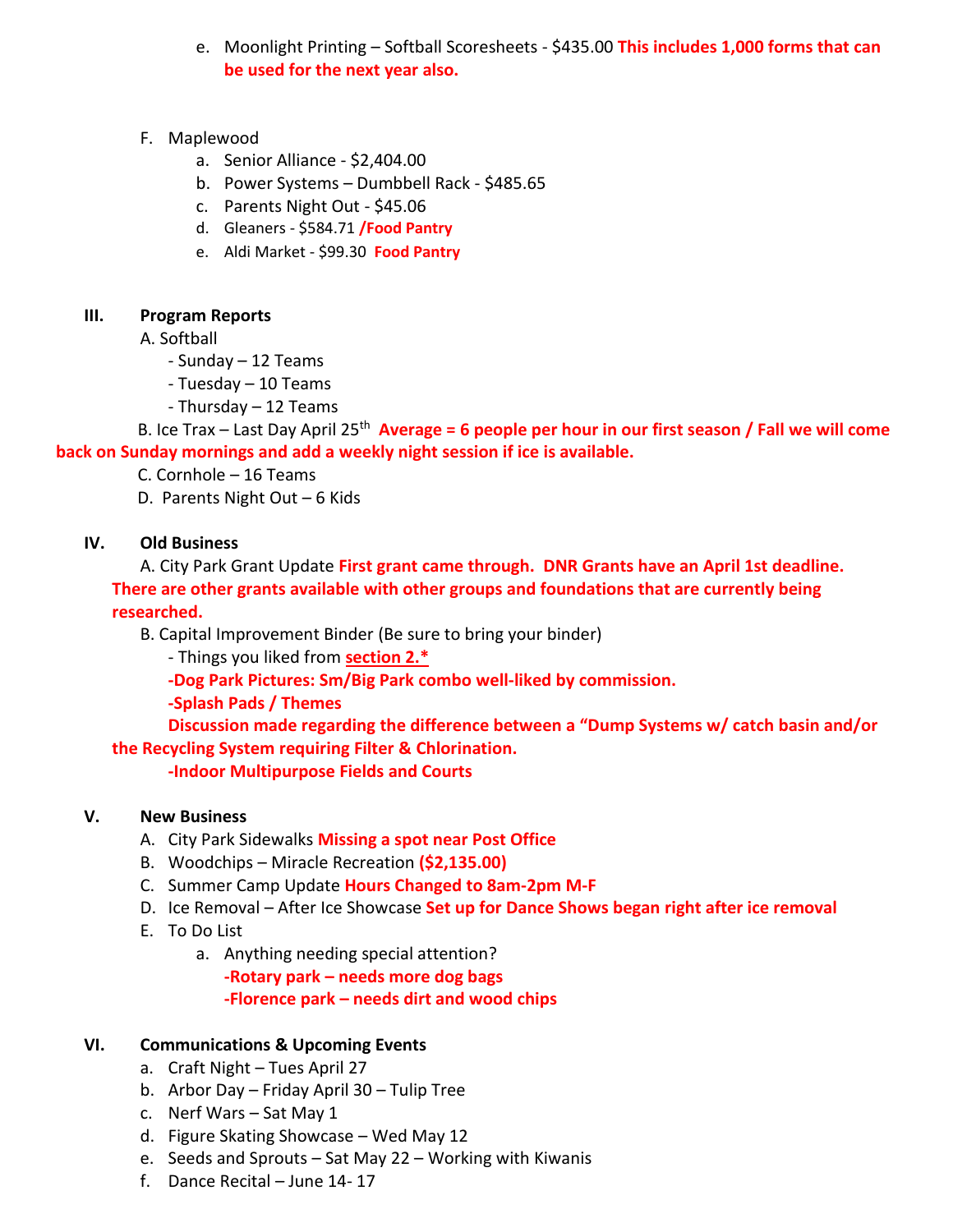- e. Moonlight Printing Softball Scoresheets \$435.00 **This includes 1,000 forms that can be used for the next year also.**
- F. Maplewood
	- a. Senior Alliance \$2,404.00
	- b. Power Systems Dumbbell Rack \$485.65
	- c. Parents Night Out \$45.06
	- d. Gleaners \$584.71 **/Food Pantry**
	- e. Aldi Market \$99.30 **Food Pantry**

## **III. Program Reports**

A. Softball

- Sunday 12 Teams
- Tuesday 10 Teams
- Thursday 12 Teams

B. Ice Trax – Last Day April 25<sup>th</sup> **Average = 6 people per hour in our first season / Fall we will come back on Sunday mornings and add a weekly night session if ice is available.**

- C. Cornhole 16 Teams
- D. Parents Night Out 6 Kids

## **IV. Old Business**

A. City Park Grant Update **First grant came through. DNR Grants have an April 1st deadline. There are other grants available with other groups and foundations that are currently being researched.** 

B. Capital Improvement Binder (Be sure to bring your binder)

- Things you liked from **section 2.\***

**-Dog Park Pictures: Sm/Big Park combo well-liked by commission.**

**-Splash Pads / Themes**

**Discussion made regarding the difference between a "Dump Systems w/ catch basin and/or the Recycling System requiring Filter & Chlorination.**

**-Indoor Multipurpose Fields and Courts**

#### **V. New Business**

- A. City Park Sidewalks **Missing a spot near Post Office**
- B. Woodchips Miracle Recreation **(\$2,135.00)**
- C. Summer Camp Update **Hours Changed to 8am-2pm M-F**
- D. Ice Removal After Ice Showcase **Set up for Dance Shows began right after ice removal**
- E. To Do List
	- a. Anything needing special attention?

**-Rotary park – needs more dog bags**

**-Florence park – needs dirt and wood chips**

## **VI. Communications & Upcoming Events**

- a. Craft Night Tues April 27
- b. Arbor Day Friday April 30 Tulip Tree
- c. Nerf Wars Sat May 1
- d. Figure Skating Showcase Wed May 12
- e. Seeds and Sprouts Sat May 22 Working with Kiwanis
- f. Dance Recital June 14- 17